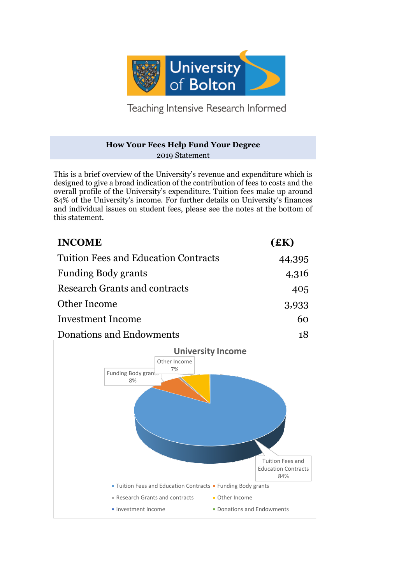

Teaching Intensive Research Informed

## **How Your Fees Help Fund Your Degree** 2019 Statement

This is a brief overview of the University's revenue and expenditure which is designed to give a broad indication of the contribution of fees to costs and the overall profile of the University's expenditure. Tuition fees make up around 84% of the University's income. For further details on University's finances and individual issues on student fees, please see the notes at the bottom of this statement.

| <b>INCOME</b>                               | (£K)   |
|---------------------------------------------|--------|
| <b>Tuition Fees and Education Contracts</b> | 44,395 |
| <b>Funding Body grants</b>                  | 4,316  |
| Research Grants and contracts               | 405    |
| Other Income                                | 3,933  |
| <b>Investment Income</b>                    | 60     |
| Donations and Endowments                    |        |